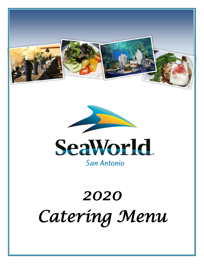





# *2020 Catering Menu*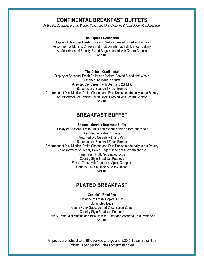## **CONTINENTAL BREAKFAST BUFFETS**

*All Breakfasts include Freshly Brewed Coffee and Chilled Orange & Apple Juice. 50 ppl minimum* 

#### **The Express Continental**

Display of Seasonal Fresh Fruits and Melons Served Sliced and Whole Assortment of Muffins, Cheese and Fruit Danish made daily in our Bakery An Assortment of Freshly Baked Bagels served with Cream Cheese **\$15.00**

#### **The Deluxe Continental**

Display of Seasonal Fresh Fruits and Melons Served Sliced and Whole Assorted Individual Yogurts Assorted Dry Cereals with Skim and 2% Milk Bananas and Seasonal Fresh Berries Assortment of Mini Muffins, Petite Cheese and Fruit Danish made daily in our Bakery An Assortment of Freshly Baked Bagels served with Cream Cheese **\$19.00**

## **BREAKFAST BUFFET**

**Shamu's Sunrise Breakfast Buffet**

Display of Seasonal Fresh Fruits and Melons served sliced and whole Assorted Individual Yogurts Assorted Dry Cereals with 2% Milk Bananas and Seasonal Fresh Berries Assortment of Mini Muffins, Petite Cheese and Fruit Danish made daily in our Bakery An Assortment of Freshly Baked Bagels served with cream cheese Farm Fresh Fluffy Scrambled Eggs Country Style Breakfast Potatoes French Toast with Cinnamon-Apple Compote Country Link Sausage & Crispy Bacon **\$21.00**

## **PLATED BREAKFAST**

**Captain's Breakfast** Mélange of Fresh Tropical Fruits Scrambled Eggs Country Link Sausage and Crisp Bacon Strips Country Style Breakfast Potatoes Bakery Fresh Mini Muffins and Biscuits with Butter and Assorted Fruit Preserves **\$18.00**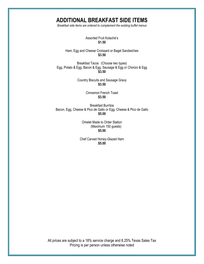## **ADDITIONAL BREAKFAST SIDE ITEMS**

*Breakfast side items are ordered to complement the existing buffet menus*

Assorted Fruit Kolache's **\$1.50**

Ham, Egg and Cheese Croissant or Bagel Sandwiches **\$3.50**

Breakfast Tacos (Choose two types) Egg, Potato & Egg, Bacon & Egg, Sausage & Egg or Chorizo & Egg **\$3.50**

> Country Biscuits and Sausage Gravy **\$3.50**

> > Cinnamon French Toast **\$3.50**

Breakfast Burritos Bacon, Egg, Cheese & Pico de Gallo or Egg, Cheese & Pico de Gallo **\$5.00**

> Omelet Made to Order Station (Maximum 150 guests) **\$5.00**

Chef Carved Honey-Glazed Ham **\$5.00**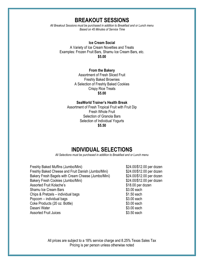## **BREAKOUT SESSIONS**

*All Breakout Sessions must be purchased in addition to Breakfast and or Lunch menu Based on 45 Minutes of Service Time*

#### **Ice Cream Social**

A Variety of Ice Cream Novelties and Treats Examples: Frozen Fruit Bars, Shamu Ice Cream Bars, etc. **\$5.00**

#### **From the Bakery**

Assortment of Fresh Sliced Fruit Freshly Baked Brownies A Selection of Freshly Baked Cookies Crispy Rice Treats **\$5.00**

#### **SeaWorld Trainer's Health Break**

Assortment of Fresh Tropical Fruit with Fruit Dip Fresh Whole Fruit Selection of Granola Bars Selection of Individual Yogurts **\$5.50**

## **INDIVIDUAL SELECTIONS**

*All Selections must be purchased in addition to Breakfast and or Lunch menu* 

Freshly Baked Muffins (Jumbo/Mini)  $$24.00/\$12.00$  per dozen Freshly Baked Cheese and Fruit Danish (Jumbo/Mini) \$24.00/\$12.00 per dozen Bakery Fresh Bagels with Cream Cheese (Jumbo/Mini) \$24.00/\$12.00 per dozen Bakery Fresh Cookies (Jumbo/Mini) 624.00/\$12.00 per dozen Assorted Fruit Kolache's **\$18.00 per dozen** Shamu Ice Cream Bars **\$3.00** each Chips & Pretzels – individual bags  $$1.50$  each Popcorn – individual bags  $$3.00$  each Coke Products (20 oz. Bottle) \$3.00 each Dasani Water **\$3.00 each** Assorted Fruit Juices **\$3.50 each**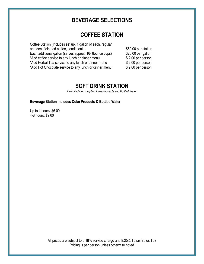## **BEVERAGE SELECTIONS**

## **COFFEE STATION**

| Coffee Station (Includes set up, 1 gallon of each, regular |                     |
|------------------------------------------------------------|---------------------|
| and decaffeinated coffee, condiments)                      | \$50.00 per station |
| Each additional gallon (serves approx. 16-8 ounce cups)    | \$20.00 per gallon  |
| *Add coffee service to any lunch or dinner menu            | \$2.00 per person   |
| *Add Herbal Tea service to any lunch or dinner menu        | $$2.00$ per person  |
| *Add Hot Chocolate service to any lunch or dinner menu     | \$2.00 per person   |

## **SOFT DRINK STATION**

*Unlimited Consumption Coke Products and Bottled Water*

### **Beverage Station includes Coke Products & Bottled Water**

Up to 4 hours: \$6.00 4-8 hours: \$9.00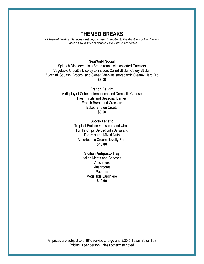## **THEMED BREAKS**

*All Themed Breakout Sessions must be purchased in addition to Breakfast and or Lunch menu Based on 45 Minutes of Service Time. Price is per person*

#### **SeaWorld Social**

Spinach Dip served in a Bread round with assorted Crackers Vegetable Crudités Display to include: Carrot Sticks, Celery Sticks, Zucchini, Squash, Broccoli and Sweet Gherkins served with Creamy Herb Dip **\$8.00**

**French Delight**

A display of Cubed International and Domestic Cheese Fresh Fruits and Seasonal Berries French Bread and Crackers Baked Brie en Croute **\$9.00**

#### **Sports Fanatic**

Tropical Fruit served sliced and whole Tortilla Chips Served with Salsa and Pretzels and Mixed Nuts Assorted Ice Cream Novelty Bars **\$10.00**

#### **Sicilian Antipasto Tray**

Italian Meats and Cheeses **Artichokes** Mushrooms Peppers Vegetable Jardinière **\$10.00**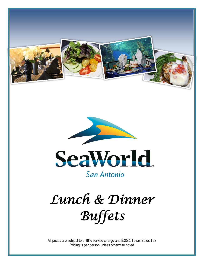



## San Antonio

## *Lunch & Dinner Buffets*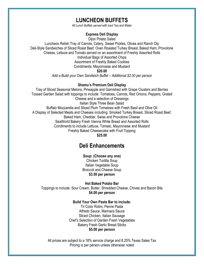## **LUNCHEON BUFFETS**

*All Lunch Buffets served with Iced Tea and Water*

#### **Express Deli Display**

Dijon Potato Salad

Luncheon Relish Tray of Carrots, Celery, Sweet Pickles, Olives and Ranch Dip Deli-Style Sandwiches of Sliced Roast Beef, Oven Roasted Turkey Breast, Baked Ham, Provolone Cheese, Lettuce and Tomato served on an assortment of Freshly Assorted Rolls Individual Bags of Assorted Chips Assortment of Freshly Baked Cookies Condiments: Mayonnaise and Mustard **\$20.00** *Add a Build your Own Sandwich Buffet – Additional \$2.00 per person*

#### **Shamu's Premium Deli Display**

Tray of Sliced Seasonal Melons, Pineapple and Garnished with Grape Clusters and Berries Tossed Garden Salad with toppings to include: Tomatoes, Carrots, Red Onions, Peppers, Grated Cheese and a selection of Dressings Italian Style Three Bean Salad Buffalo Mozzarella and Sliced Plum Tomatoes with Fresh Basil and Olive Oil A Display of Selected Meats and Cheeses including: Smoked Turkey Breast, Sliced Roast Beef, Baked Ham, Cheddar, Swiss and Provolone Cheese SeaWorld Bakery Fresh Vienna White Bread and Assorted Rolls Condiments to include Lettuce, Tomato, Mayonnaise and Mustard Freshly Baked Cheesecake with Fruit Topping **\$25.00**

## **Deli Enhancements**

**Soup: (Choose any one)** Chicken Tortilla Soup

Italian Vegetable Soup Broccoli and Cheese Soup **\$3.50 per person**

**Hot Baked Potato Bar**

Toppings to include: Sour Cream, Butter, Shredded Cheese, Chives and Bacon Bits **\$4.00 per person**

#### **Build Your Own Pasta Bar to include:**

Tri Color Rotini, Penne Pasta Alfredo Sauce, Marinara Sauce Sliced Chicken, Italian Sausage Chef's Selection of Garden Fresh Vegetables Bakery Fresh Garlic Bread Sticks **\$5.00 per person**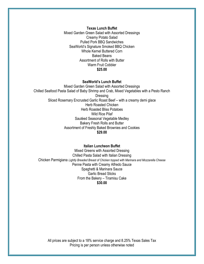**Texas Lunch Buffet** Mixed Garden Green Salad with Assorted Dressings Creamy Potato Salad Pulled Pork BBQ Sandwiches SeaWorld's Signature Smoked BBQ Chicken Whole Kernel Buttered Corn Baked Beans Assortment of Rolls with Butter Warm Fruit Cobbler **\$25.00**

#### **SeaWorld's Lunch Buffet**

Mixed Garden Green Salad with Assorted Dressings Chilled Seafood Pasta Salad of Baby Shrimp and Crab, Mixed Vegetables with a Pesto Ranch Dressing Sliced Rosemary Encrusted Garlic Roast Beef – with a creamy demi glace Herb Roasted Chicken Herb Roasted Bliss Potatoes Wild Rice Pilaf Sautéed Seasonal Vegetable Medley Bakery Fresh Rolls and Butter Assortment of Freshly Baked Brownies and Cookies **\$29.00**

#### **Italian Luncheon Buffet**

Mixed Greens with Assorted Dressing Chilled Pasta Salad with Italian Dressing Chicken Parmigiana *Lightly Breaded Breast of Chicken topped with Marinara and Mozzarella Cheese* Penne Pasta with Creamy Alfredo Sauce Spaghetti & Marinara Sauce Garlic Bread Sticks From the Bakery – Tiramisu Cake **\$30.00**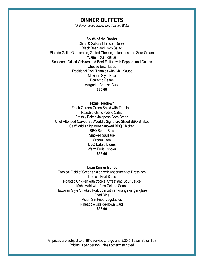## **DINNER BUFFETS**

*All dinner menus include Iced Tea and Water*

#### **South of the Border**

Chips & Salsa / Chili con Queso Black Bean and Corn Salad Pico de Gallo, Guacamole, Grated Cheese, Jalapenos and Sour Cream Warm Flour Tortillas Seasoned Grilled Chicken and Beef Fajitas with Peppers and Onions Cheese Enchiladas Traditional Pork Tamales with Chili Sauce Mexican Style Rice Borracho Beans Margarita Cheese Cake **\$30.00**

#### **Texas Hoedown**

Fresh Garden Green Salad with Toppings Roasted Garlic Potato Salad Freshly Baked Jalapeno Corn Bread Chef Attended Carved SeaWorld's Signature Sliced BBQ Brisket SeaWorld's Signature Smoked BBQ Chicken BBQ Spare Ribs Smoked Sausage Cream Corn BBQ Baked Beans Warm Fruit Cobbler **\$32.00**

#### **Luau Dinner Buffet**

Tropical Field of Greens Salad with Assortment of Dressings Tropical Fruit Salad Roasted Chicken with tropical Sweet and Sour Sauce Mahi-Mahi with Pina Colada Sauce Hawaiian Style Smoked Pork Loin with an orange ginger glaze Fried Rice Asian Stir Fried Vegetables Pineapple Upside-down Cake **\$36.00**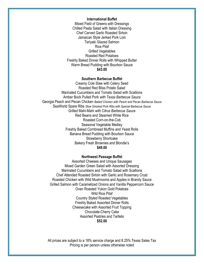#### **International Buffet**

Mixed Field of Greens with Dressings Chilled Pasta Salad with Italian Dressing Chef Carved Garlic Roasted Sirloin Jamaican Style Jerked Pork Loin Teriyaki Glazed Salmon Rice Pilaf Grilled Vegetables Roasted Red Potatoes Freshly Baked Dinner Rolls with Whipped Butter Warm Bread Pudding with Bourbon Sauce **\$43.00**

#### **Southern Barbecue Buffet**

Creamy Cole Slaw with Celery Seed Roasted Red Bliss Potato Salad Marinated Cucumbers and Tomato Salad with Scallions Amber Bock Pulled Pork *with Texas Barbecue Sauce* Georgia Peach and Pecan Chicken *Baked Chicken with Peach and Pecan Barbecue Sauce* SeaWorld Spare Ribs *Slow Smoked Pork Ribs with Special Barbecue Sauce* Grilled Mahi-Mahi *with Citrus Barbecue Sauce* Red Beans and Steamed White Rice Roasted Corn-on-the-Cob Seasonal Vegetable Medley Freshly Baked Cornbread Muffins and Yeast Rolls Banana Bread Pudding with Bourbon Sauce Strawberry Shortcake Bakery Fresh Brownies and Blondie's **\$49.00**

#### **Northwest Passage Buffet**

Assorted Cheeses and Unique Sausages Mixed Garden Green Salad with Assorted Dressing Marinated Cucumbers and Tomato Salad with Scallions Chef Attended Roasted Sirloin with Garlic and Rosemary Crust Roasted Chicken with Wild Mushrooms and Apples in Brandy Sauce Grilled Salmon with Caramelized Onions and Vanilla Peppercorn Sauce Oven Roasted Yukon Gold Potatoes Wild Rice Pilaf Country Styled Roasted Vegetables Freshly Baked Assorted Dinner Rolls Cheesecake with Assorted Fruit Topping Chocolate-Cherry Cake Assorted Pastries and Tartlets **\$52.00**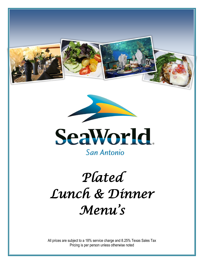





San Antonio

## *Plated Lunch & Dinner Menu's*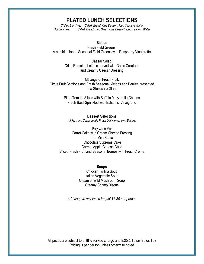## **PLATED LUNCH SELECTIONS**

*Chilled Lunches: Salad, Bread, One Dessert, Iced Tea and Water Hot Lunches: Salad, Bread, Two Sides, One Dessert, Iced Tea and Water*

#### **Salads**

Fresh Field Greens: A combination of Seasonal Field Greens with Raspberry Vinaigrette

> Caesar Salad: Crisp Romaine Lettuce served with Garlic Croutons and Creamy Caesar Dressing

Mélange of Fresh Fruit: Citrus Fruit Sections and Fresh Seasonal Melons and Berries presented in a Stemware Glass

> Plum Tomato Slices with Buffalo Mozzarella Cheese Fresh Basil Sprinkled with Balsamic Vinaigrette

#### **Dessert Selections**

*All Pies and Cakes made Fresh Daily in our own Bakery!*

Key Lime Pie Carrot Cake with Cream Cheese Frosting Tira Misu Cake Chocolate Supreme Cake Carmel Apple Cheese Cake Sliced Fresh Fruit and Seasonal Berries with Fresh Crème

> **Soups** Chicken Tortilla Soup Italian Vegetable Soup Cream of Wild Mushroom Soup Creamy Shrimp Bisque

*Add soup to any lunch for just \$3.50 per person*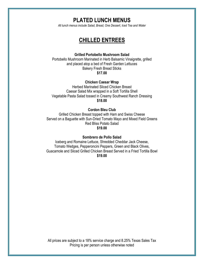## **PLATED LUNCH MENUS**

*All lunch menus include Salad, Bread, One Dessert, Iced Tea and Water* 

## **CHILLED ENTREES**

#### **Grilled Portobello Mushroom Salad**

Portobello Mushroom Marinated in Herb Balsamic Vinaigrette, grilled and placed atop a bed of Fresh Garden Lettuces Bakery Fresh Bread Sticks **\$17.00**

**Chicken Caesar Wrap**

Herbed Marinated Sliced Chicken Breast Caesar Salad Mix wrapped in a Soft Tortilla Shell Vegetable Pasta Salad tossed in Creamy Southwest Ranch Dressing **\$18.00**

#### **Cordon Bleu Club**

Grilled Chicken Breast topped with Ham and Swiss Cheese Served on a Baguette with Sun-Dried Tomato Mayo and Mixed Field Greens Red Bliss Potato Salad **\$19.00**

#### **Sombrero de Pollo Salad**

Iceberg and Romaine Lettuce, Shredded Cheddar Jack Cheese, Tomato Wedges, Pepperoncini Peppers, Green and Black Olives, Guacamole and Sliced Grilled Chicken Breast Served in a Fried Tortilla Bowl **\$19.00**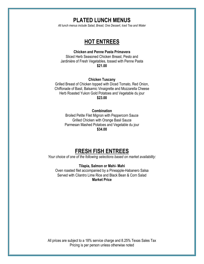## **PLATED LUNCH MENUS**

*All lunch menus include Salad, Bread, One Dessert, Iced Tea and Water*

## **HOT ENTREES**

#### **Chicken and Penne Pasta Primavera**

Sliced Herb Seasoned Chicken Breast, Pesto and Jardinière of Fresh Vegetables, tossed with Penne Pasta **\$21.00**

#### **Chicken Tuscany**

Grilled Breast of Chicken topped with Diced Tomato, Red Onion, Chiffonade of Basil, Balsamic Vinaigrette and Mozzarella Cheese Herb Roasted Yukon Gold Potatoes and Vegetable du jour **\$23.00**

#### **Combination**

Broiled Petite Filet Mignon with Peppercorn Sauce Grilled Chicken with Orange Basil Sauce Parmesan Mashed Potatoes and Vegetable du jour **\$34.00**

## **FRESH FISH ENTREES**

*Your choice of one of the following selections based on market availability:*

#### **Tilapia, Salmon or Mahi- Mahi**

Oven roasted filet accompanied by a Pineapple-Habanero Salsa Served with Cilantro Lime Rice and Black Bean & Corn Salad **Market Price**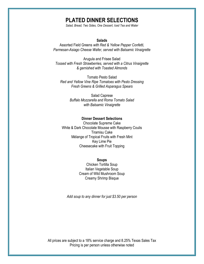## **PLATED DINNER SELECTIONS**

*Salad, Bread, Two Sides, One Dessert, Iced Tea and Water*

#### **Salads**

Assorted Field Greens *with Red & Yellow Pepper Confetti, Parmesan-Asiago Cheese Wafer, served with Balsamic Vinaigrette* 

Arugula and Frisee Salad *Tossed with Fresh Strawberries, served with a Citrus Vinaigrette & garnished with Toasted Almonds*

Tomato Pesto Salad *Red and Yellow Vine Ripe Tomatoes with Pesto Dressing Fresh Greens & Grilled Asparagus Spears*

> Salad Caprese *Buffalo Mozzarella and Roma Tomato Salad with Balsamic Vinaigrette*

#### **Dinner Dessert Selections**

Chocolate Supreme Cake White & Dark Chocolate Mousse with Raspberry Coulis Tiramisu Cake Mélange of Tropical Fruits with Fresh Mint Key Lime Pie Cheesecake with Fruit Topping

#### **Soups**

Chicken Tortilla Soup Italian Vegetable Soup Cream of Wild Mushroom Soup Creamy Shrimp Bisque

*Add soup to any dinner for just \$3.50 per person*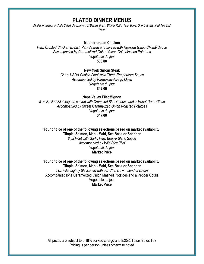## **PLATED DINNER MENUS**

*All dinner menus include Salad, Assortment of Bakery Fresh Dinner Rolls, Two Sides, One Dessert, Iced Tea and Water*

#### **Mediterranean Chicken**

*Herb Crusted Chicken Breast, Pan-Seared and served with Roasted Garlic-Chianti Sauce Accompanied by Caramelized Onion Yukon Gold Mashed Potatoes Vegetable du jour* **\$36.00**

#### **New York Sirloin Steak**

*12 oz. USDA Choice Steak with Three-Peppercorn Sauce Accompanied by Parmesan-Asiago Mash Vegetable du jour* **\$42.00**

#### **Napa Valley Filet Mignon**

*8 oz Broiled Filet Mignon served with Crumbled Blue Cheese and a Merlot Demi-Glace Accompanied by Sweet Caramelized Onion Roasted Potatoes Vegetable du jour* **\$47.00**

#### **Your choice of one of the following selections based on market availability: Tilapia, Salmon, Mahi- Mahi, Sea Bass or Snapper**

*8 oz Fillet with Garlic Herb Beurre Blanc Sauce Accompanied by Wild Rice Pilaf Vegetable du jour* **Market Price**

**Your choice of one of the following selections based on market availability: Tilapia, Salmon, Mahi- Mahi, Sea Bass or Snapper**

*8 oz Fillet Lightly Blackened with our Chef's own blend of spices*  Accompanied by a Caramelized Onion Mashed Potatoes and a Pepper Coulis Vegetable du jour **Market Price**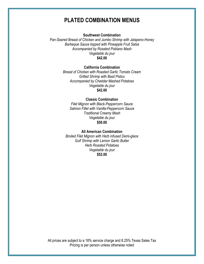## **PLATED COMBINATION MENUS**

#### **Southwest Combination**

*Pan-Seared Breast of Chicken and Jumbo Shrimp with Jalapeno-Honey Barbeque Sauce topped with Pineapple Fruit Salsa Accompanied by Roasted Poblano Mash Vegetable du jour* **\$42.00**

#### **California Combination**

*Breast of Chicken with Roasted Garlic Tomato Cream Grilled Shrimp with Basil Pistou Accompanied by Cheddar Mashed Potatoes Vegetable du jour* **\$42.00**

#### **Classic Combination**

*Filet Mignon with Black-Peppercorn Sauce Salmon Fillet with Vanilla-Peppercorn Sauce Traditional Creamy Mash Vegetable du jour* **\$50.00**

#### **All American Combination**

*Broiled Filet Mignon with Herb infused Demi-glace Gulf Shrimp with Lemon Garlic Butter Herb Roasted Potatoes Vegetable du jour* **\$52.00**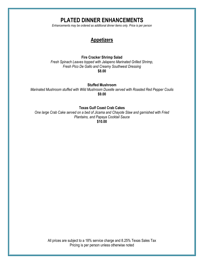## **PLATED DINNER ENHANCEMENTS**

*Enhancements may be ordered as additional dinner items only. Price is per person*



#### **Fire Cracker Shrimp Salad**

*Fresh Spinach Leaves topped with Jalapeno Marinated Grilled Shrimp, Fresh Pico De Gallo and Creamy Southwest Dressing* **\$8.00**

**Stuffed Mushroom**

*Marinated Mushroom stuffed with Wild Mushroom Duxelle served with Roasted Red Pepper Coulis* **\$9.00**

**Texas Gulf Coast Crab Cakes**

*One large Crab Cake served on a bed of Jicama and Chayote Slaw and garnished with Fried Plantains, and Papaya Cocktail Sauce* **\$10.00**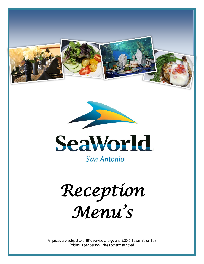





*Reception Menu's*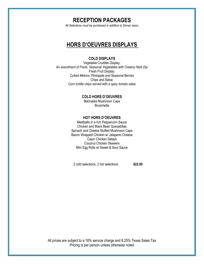## **RECEPTION PACKAGES**

*All Selections must be purchased in addition to Dinner menu* 

## **HORS D'OEUVRES DISPLAYS**

#### **COLD DISPLAYS**

Vegetable Crudités Display: *An assortment of Fresh, Seasonal Vegetables with Creamy Herb Dip* Fresh Fruit Display: *Cubed Melons, Pineapple and Seasonal Berries* Chips and Salsa: *Corn tortilla chips served with a spicy tomato salsa*

#### **COLD HORS D'OEUVRES**

Marinated Mushroom Caps **Bruschetta** 

#### **HOT HORS D'OEUVRES**

Meatballs in a rich Peppercorn Sauce Chicken and Black Bean Quesadillas Spinach and Cheese Stuffed Mushroom Caps Bacon Wrapped Chicken w/ Jalapeno Cheese Cajun Chicken Satays Coconut Chicken Skewers Mini Egg Rolls w/ Sweet & Sour Sauce

2 cold selections, 2 hot selections **\$22.00**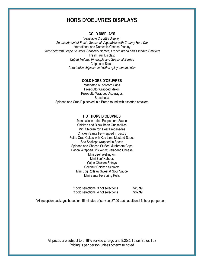## **HORS D'OEUVRES DISPLAYS**

#### **COLD DISPLAYS**

Vegetable Crudités Display: *An assortment of Fresh, Seasonal Vegetables with Creamy Herb Dip* International and Domestic Cheese Display: *Garnished with Grape Clusters, Seasonal Berries, French bread and Assorted Crackers* Fresh Fruit Display: *Cubed Melons, Pineapple and Seasonal Berries* Chips and Salsa: *Corn tortilla chips served with a spicy tomato salsa*

#### **COLD HORS D'OEUVRES**

Marinated Mushroom Caps Prosciutto Wrapped Melon Prosciutto Wrapped Asparagus **Bruschetta** Spinach and Crab Dip served in a Bread round with assorted crackers

#### **HOT HORS D'OEUVRES**

Meatballs in a rich Peppercorn Sauce Chicken and Black Bean Quesadillas Mini Chicken "or" Beef Empanadas Chicken Santa Fe wrapped in pastry Petite Crab Cakes with Key Lime Mustard Sauce Sea Scallops wrapped in Bacon Spinach and Cheese Stuffed Mushroom Caps Bacon Wrapped Chicken w/ Jalapeno Cheese Mini Beef Wellington Mini Beef Kabobs Cajun Chicken Satays Coconut Chicken Skewers Mini Egg Rolls w/ Sweet & Sour Sauce Mini Santa Fe Spring Rolls

| 2 cold selections, 3 hot selections | \$28.99 |
|-------------------------------------|---------|
| 3 cold selections, 4 hot selections | \$32.99 |

\*All reception packages based on 45 minutes of service; \$7.00 each additional ½ hour per person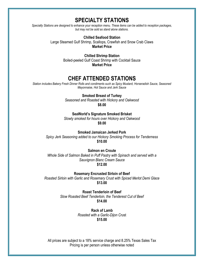## **SPECIALTY STATIONS**

*Specialty Stations are designed to enhance your reception menu. These items can be added to reception packages, but may not be sold as stand alone stations.*

**Chilled Seafood Station**

Large Steamed Gulf Shrimp, Scallops, Crawfish and Snow Crab Claws **Market Price**

> **Chilled Shrimp Station** Boiled-peeled Gulf Coast Shrimp with Cocktail Sauce **Market Price**

## **CHEF ATTENDED STATIONS**

*Station includes Bakery Fresh Dinner Rolls and condiments such as Spicy Mustard, Horseradish Sauce, Seasoned Mayonnaise, Hot Sauce and Jerk Sauce*

**Smoked Breast of Turkey**

*Seasoned and Roasted with Hickory and Oakwood* **\$8.00**

**SeaWorld's Signature Smoked Brisket**

*Slowly smoked for hours over Hickory and Oakwood* **\$9.00**

**Smoked Jamaican Jerked Pork** *Spicy Jerk Seasoning added to our Hickory Smoking Process for Tenderness*

**\$10.00**

**Salmon en Croute** *Whole Side of Salmon Baked in Puff Pastry with Spinach and served with a Sauvignon Blanc Cream Sauce* **\$12.00**

**Rosemary Encrusted Sirloin of Beef** *Roasted Sirloin with Garlic and Rosemary Crust with Spiced Merlot Demi Glace* **\$13.00**

> **Roast Tenderloin of Beef** *Slow Roasted Beef Tenderloin, the Tenderest Cut of Beef* **\$14.00**

> > **Rack of Lamb** *Roasted with a Garlic-Dijon Cru*st **\$15.00**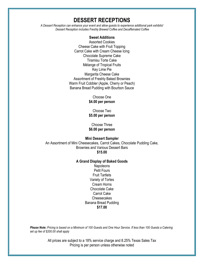## **DESSERT RECEPTIONS**

*A Dessert Reception can enhance your event and allow guests to experience additional park exhibits! Dessert Reception includes Freshly Brewed Coffee and Decaffeinated Coffee*

#### **Sweet Additions**

Assorted Cookies Cheese Cake with Fruit Topping Carrot Cake with Cream Cheese Icing Chocolate Supreme Cake Tiramisu Torte Cake Mélange of Tropical Fruits Key Lime Pie Margarita Cheese Cake Assortment of Freshly Baked Brownies Warm Fruit Cobbler (Apple, Cherry or Peach) Banana Bread Pudding with Bourbon Sauce

> Choose One **\$4.00 per person**

Choose Two **\$5.00 per person**

Choose Three **\$6.00 per person**

### **Mini Dessert Sampler**

An Assortment of Mini Cheesecakes, Carrot Cakes, Chocolate Pudding Cake, Brownies and Various Dessert Bars **\$15.00**

#### **A Grand Display of Baked Goods**

**Napoleons** Petit Fours Fruit Tartlets Variety of Tortes Cream Horns Chocolate Cake Carrot Cake **Cheesecakes** Banana Bread Pudding **\$17.00**

*Please Note: Pricing is based on a Minimum of 100 Guests and One Hour Service. If less than 100 Guests a Catering set up fee of \$200.00 shall apply*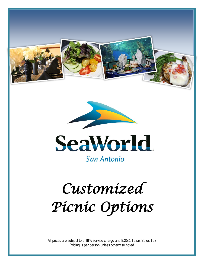





## *Customized Picnic Options*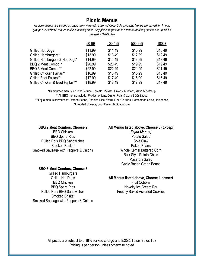## **Picnic Menus**

*All picnic menus are served on disposable ware with assorted Coca-Cola products. Menus are served for 1 hour; groups over 850 will require multiple seating times. Any picnic requested in a venue requiring special set-up will be charged a Set-Up fee*

| 50-99   | 100-499 | 500-999 | $1000+$ |
|---------|---------|---------|---------|
| \$11.99 | \$11.49 | \$10.99 | \$10.49 |
| \$13.99 | \$13.49 | \$12.99 | \$12.49 |
| \$14.99 | \$14.49 | \$13.99 | \$13.49 |
| \$20.99 | \$20.49 | \$19.99 | \$19.49 |
| \$22.99 | \$22.49 | \$21.99 | \$21.49 |
| \$16.99 | \$16.49 | \$15.99 | \$15.49 |
| \$17.99 | \$17.49 | \$16.99 | \$16.49 |
| \$18.99 | \$18.49 | \$17.99 | \$17.49 |
|         |         |         |         |

\*Hamburger menus include: Lettuce, Tomato, Pickles, Onions, Mustard, Mayo & Ketchup \*\*All BBQ menus include: Pickles, onions, Dinner Rolls & extra BQQ Sauce \*\*\*Fajita menus served with: Refried Beans, Spanish Rice, Warm Flour Tortillas, Homemade Salsa, Jalapenos, Shredded Cheese, Sour Cream & Guacamole

#### **BBQ 2 Meat Combos, Choose 2**

BBQ Chicken BBQ Spare Ribs Pulled Pork BBQ Sandwiches Smoked Brisket Smoked Sausage with Peppers & Onions

#### **BBQ 3 Meat Combos, Choose 3**

Grilled Hamburgers Grilled Hot Dogs BBQ Chicken BBQ Spare Ribs Pulled Pork BBQ Sandwiches Smoked Brisket Smoked Sausage with Peppers & Onions

#### **All Menus listed above, Choose 3 (***Except Fajita Menus)*

Potato Salad Cole Slaw Baked Beans Whole Kernel Buttered Corn Bulk Style Potato Chips Macaroni Salad Garlic Bacon Green Beans

#### **All Menus listed above, Choose 1 dessert**

Fruit Cobbler Novelty Ice Cream Bar Freshly Baked Assorted Cookies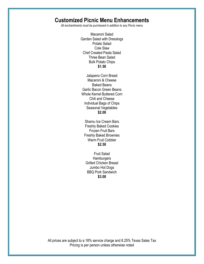## **Customized Picnic Menu Enhancements**

*All enchantments must be purchased in addition to any Picnic menu*

Macaroni Salad Garden Salad with Dressings Potato Salad Cole Slaw Chef Created Pasta Salad Three Bean Salad Bulk Potato Chips **\$1.50**

Jalapeno Corn Bread Macaroni & Cheese Baked Beans Garlic Bacon Green Beans Whole Kernel Buttered Corn Chili and Cheese Individual Bags of Chips Seasonal Vegetables **\$2.00**

Shamu Ice Cream Bars Freshly Baked Cookies Frozen Fruit Bars Freshly Baked Brownies Warm Fruit Cobbler **\$2.50**

Fruit Salad **Hamburgers** Grilled Chicken Breast Jumbo Hot Dogs BBQ Pork Sandwich **\$3.00**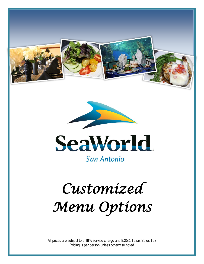





# *Customized Menu Options*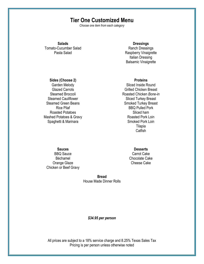## **Tier One Customized Menu**

*Choose one item from each category* 

**Salads**

Tomato-Cucumber Salad Pasta Salad

#### **Dressings**

Ranch Dressings Raspberry Vinaigrette Italian Dressing Balsamic Vinaigrette

#### **Sides (Choose 2)**

Garden Melody Glazed Carrots Steamed Broccoli Steamed Cauliflower Steamed Green Beans Rice Pilaf Roasted Potatoes Mashed Potatoes & Gravy Spaghetti & Marinara

#### **Proteins**

Sliced Inside Round Grilled Chicken Breast Roasted Chicken *Bone-in* Sliced Turkey Breast Smoked Turkey Breast BBQ Pulled Pork Sliced ham Roasted Pork Loin Smoked Pork Loin Tilapia **Catfish** 

#### **Sauces**

BBQ Sauce Béchamel Orange Glaze Chicken or Beef Gravy

#### **Desserts**

Carrot Cake Chocolate Cake Cheese Cake

**Bread** House Made Dinner Rolls

#### *\$34.95 per person*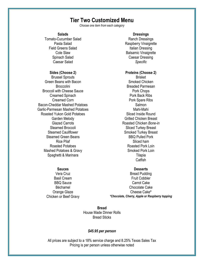## **Tier Two Customized Menu**

*Choose one item from each category* 

#### **Salads**

Tomato-Cucumber Salad Pasta Salad Field Greens Salad Cole Slaw Spinach Salad Caesar Salad

#### **Sides (Choose 2)**

Brussel Sprouts Green Beans with Bacon **Broccolini** Broccoli with Cheese Sauce Creamed Spinach Creamed Corn Bacon-Cheddar Mashed Potatoes Garlic-Parmesan Mashed Potatoes Roasted Yukon Gold Potatoes Garden Melody Glazed Carrots Steamed Broccoli Steamed Cauliflower Steamed Green Beans Rice Pilaf Roasted Potatoes Mashed Potatoes & Gravy Spaghetti & Marinara

#### **Dressings** Ranch Dressings Raspberry Vinaigrette Italian Dressing Balsamic Vinaigrette Caesar Dressing *Specific*

#### **Proteins (Choose 2)**

Brisket Smoked Chicken Breaded Parmesan Pork Chops Pork Back Ribs Pork Spare Ribs Salmon Mahi-Mahi Sliced Inside Round Grilled Chicken Breast Roasted Chicken *Bone-in* Sliced Turkey Breast Smoked Turkey Breast BBQ Pulled Pork Sliced ham Roasted Pork Loin Smoked Pork Loin Tilapia **Catfish** 

#### **Sauces**

Vera Cruz Basil Cream BBQ Sauce Béchamel Orange Glaze Chicken or Beef Gravy

#### **Desserts**

Bread Pudding Fruit Cobbler Carrot Cake Chocolate Cake Cheese Cake**\*** *\*Chocolate, Cherry, Apple or Raspberry topping*

**Bread** House Made Dinner Rolls Bread Sticks

#### *\$45.95 per person*